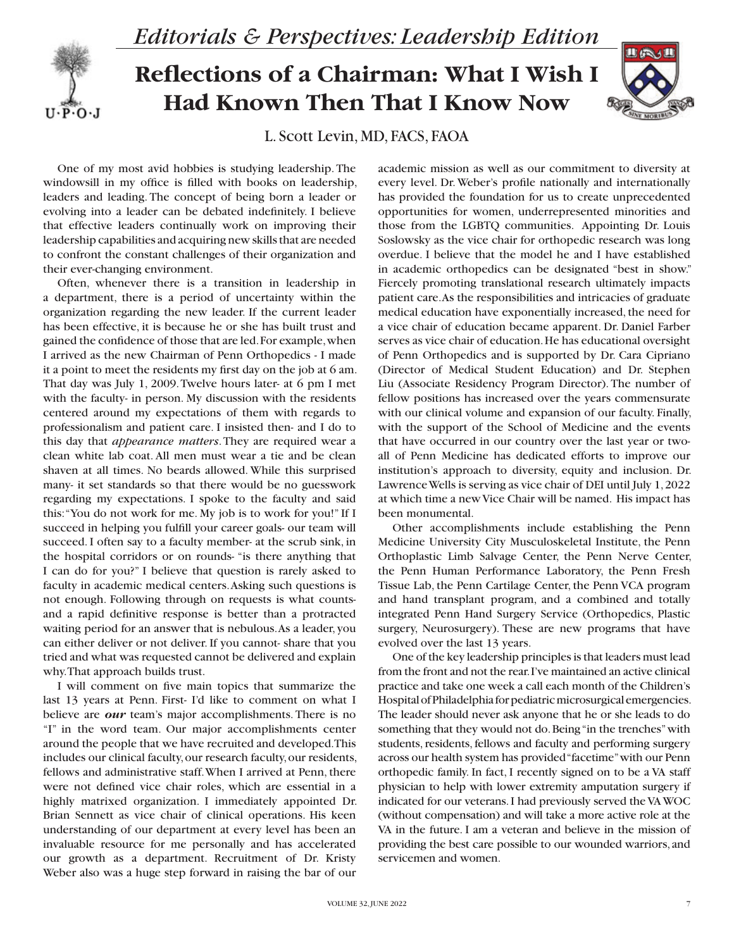



## **Reflections of a Chairman: What I Wish I Had Known Then That I Know Now**



L. Scott Levin, MD, FACS, FAOA

One of my most avid hobbies is studying leadership. The windowsill in my office is filled with books on leadership, leaders and leading. The concept of being born a leader or evolving into a leader can be debated indefinitely. I believe that effective leaders continually work on improving their leadership capabilities and acquiring new skills that are needed to confront the constant challenges of their organization and their ever-changing environment.

Often, whenever there is a transition in leadership in a department, there is a period of uncertainty within the organization regarding the new leader. If the current leader has been effective, it is because he or she has built trust and gained the confidence of those that are led. For example, when I arrived as the new Chairman of Penn Orthopedics - I made it a point to meet the residents my first day on the job at 6 am. That day was July 1, 2009. Twelve hours later- at 6 pm I met with the faculty- in person. My discussion with the residents centered around my expectations of them with regards to professionalism and patient care. I insisted then- and I do to this day that *appearance matters*. They are required wear a clean white lab coat. All men must wear a tie and be clean shaven at all times. No beards allowed. While this surprised many- it set standards so that there would be no guesswork regarding my expectations. I spoke to the faculty and said this: "You do not work for me. My job is to work for you!" If I succeed in helping you fulfill your career goals- our team will succeed. I often say to a faculty member- at the scrub sink, in the hospital corridors or on rounds- "is there anything that I can do for you?" I believe that question is rarely asked to faculty in academic medical centers. Asking such questions is not enough. Following through on requests is what countsand a rapid definitive response is better than a protracted waiting period for an answer that is nebulous. As a leader, you can either deliver or not deliver. If you cannot- share that you tried and what was requested cannot be delivered and explain why. That approach builds trust.

I will comment on five main topics that summarize the last 13 years at Penn. First- I'd like to comment on what I believe are *our* team's major accomplishments. There is no "I" in the word team. Our major accomplishments center around the people that we have recruited and developed. This includes our clinical faculty, our research faculty, our residents, fellows and administrative staff. When I arrived at Penn, there were not defined vice chair roles, which are essential in a highly matrixed organization. I immediately appointed Dr. Brian Sennett as vice chair of clinical operations. His keen understanding of our department at every level has been an invaluable resource for me personally and has accelerated our growth as a department. Recruitment of Dr. Kristy Weber also was a huge step forward in raising the bar of our

academic mission as well as our commitment to diversity at every level. Dr. Weber's profile nationally and internationally has provided the foundation for us to create unprecedented opportunities for women, underrepresented minorities and those from the LGBTQ communities. Appointing Dr. Louis Soslowsky as the vice chair for orthopedic research was long overdue. I believe that the model he and I have established in academic orthopedics can be designated "best in show." Fiercely promoting translational research ultimately impacts patient care. As the responsibilities and intricacies of graduate medical education have exponentially increased, the need for a vice chair of education became apparent. Dr. Daniel Farber serves as vice chair of education. He has educational oversight of Penn Orthopedics and is supported by Dr. Cara Cipriano (Director of Medical Student Education) and Dr. Stephen Liu (Associate Residency Program Director). The number of fellow positions has increased over the years commensurate with our clinical volume and expansion of our faculty. Finally, with the support of the School of Medicine and the events that have occurred in our country over the last year or twoall of Penn Medicine has dedicated efforts to improve our institution's approach to diversity, equity and inclusion. Dr. Lawrence Wells is serving as vice chair of DEI until July 1, 2022 at which time a new Vice Chair will be named. His impact has been monumental.

Other accomplishments include establishing the Penn Medicine University City Musculoskeletal Institute, the Penn Orthoplastic Limb Salvage Center, the Penn Nerve Center, the Penn Human Performance Laboratory, the Penn Fresh Tissue Lab, the Penn Cartilage Center, the Penn VCA program and hand transplant program, and a combined and totally integrated Penn Hand Surgery Service (Orthopedics, Plastic surgery, Neurosurgery). These are new programs that have evolved over the last 13 years.

One of the key leadership principles is that leaders must lead from the front and not the rear. I've maintained an active clinical practice and take one week a call each month of the Children's Hospital of Philadelphia for pediatric microsurgical emergencies. The leader should never ask anyone that he or she leads to do something that they would not do. Being "in the trenches" with students, residents, fellows and faculty and performing surgery across our health system has provided "facetime" with our Penn orthopedic family. In fact, I recently signed on to be a VA staff physician to help with lower extremity amputation surgery if indicated for our veterans. I had previously served the VA WOC (without compensation) and will take a more active role at the VA in the future. I am a veteran and believe in the mission of providing the best care possible to our wounded warriors, and servicemen and women.